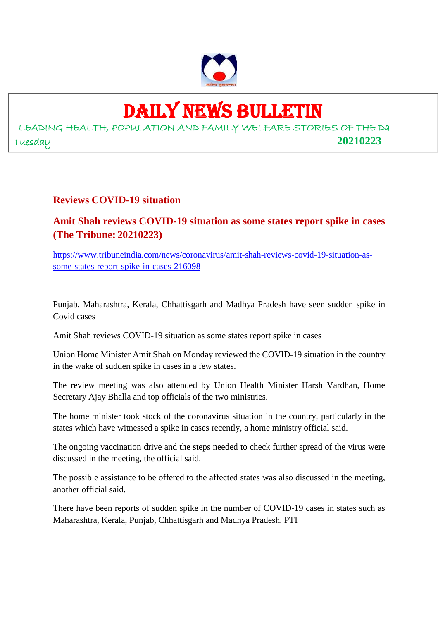

# DAILY NEWS BULLETIN

LEADING HEALTH, POPULATION AND FAMILY WELFARE STORIES OF THE Da Tuesday **20210223**

#### **Reviews COVID-19 situation**

**Amit Shah reviews COVID-19 situation as some states report spike in cases (The Tribune: 20210223)**

https://www.tribuneindia.com/news/coronavirus/amit-shah-reviews-covid-19-situation-assome-states-report-spike-in-cases-216098

Punjab, Maharashtra, Kerala, Chhattisgarh and Madhya Pradesh have seen sudden spike in Covid cases

Amit Shah reviews COVID-19 situation as some states report spike in cases

Union Home Minister Amit Shah on Monday reviewed the COVID-19 situation in the country in the wake of sudden spike in cases in a few states.

The review meeting was also attended by Union Health Minister Harsh Vardhan, Home Secretary Ajay Bhalla and top officials of the two ministries.

The home minister took stock of the coronavirus situation in the country, particularly in the states which have witnessed a spike in cases recently, a home ministry official said.

The ongoing vaccination drive and the steps needed to check further spread of the virus were discussed in the meeting, the official said.

The possible assistance to be offered to the affected states was also discussed in the meeting, another official said.

There have been reports of sudden spike in the number of COVID-19 cases in states such as Maharashtra, Kerala, Punjab, Chhattisgarh and Madhya Pradesh. PTI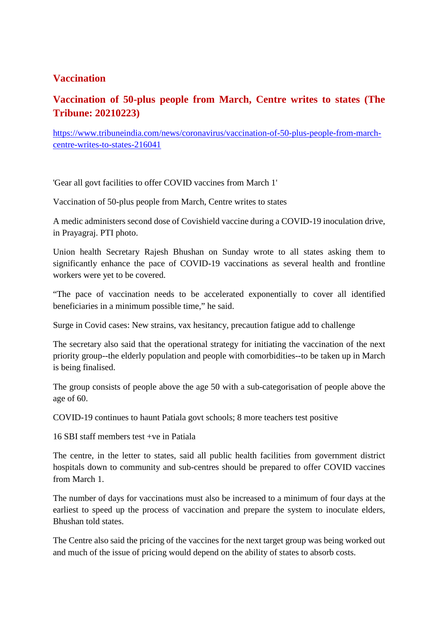### **Vaccination**

# **Vaccination of 50-plus people from March, Centre writes to states (The Tribune: 20210223)**

https://www.tribuneindia.com/news/coronavirus/vaccination-of-50-plus-people-from-marchcentre-writes-to-states-216041

'Gear all govt facilities to offer COVID vaccines from March 1'

Vaccination of 50-plus people from March, Centre writes to states

A medic administers second dose of Covishield vaccine during a COVID-19 inoculation drive, in Prayagraj. PTI photo.

Union health Secretary Rajesh Bhushan on Sunday wrote to all states asking them to significantly enhance the pace of COVID-19 vaccinations as several health and frontline workers were yet to be covered.

"The pace of vaccination needs to be accelerated exponentially to cover all identified beneficiaries in a minimum possible time," he said.

Surge in Covid cases: New strains, vax hesitancy, precaution fatigue add to challenge

The secretary also said that the operational strategy for initiating the vaccination of the next priority group--the elderly population and people with comorbidities--to be taken up in March is being finalised.

The group consists of people above the age 50 with a sub-categorisation of people above the age of 60.

COVID-19 continues to haunt Patiala govt schools; 8 more teachers test positive

16 SBI staff members test +ve in Patiala

The centre, in the letter to states, said all public health facilities from government district hospitals down to community and sub-centres should be prepared to offer COVID vaccines from March 1.

The number of days for vaccinations must also be increased to a minimum of four days at the earliest to speed up the process of vaccination and prepare the system to inoculate elders, Bhushan told states.

The Centre also said the pricing of the vaccines for the next target group was being worked out and much of the issue of pricing would depend on the ability of states to absorb costs.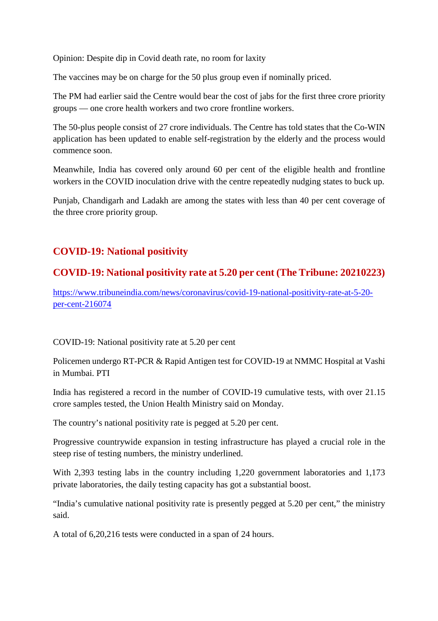Opinion: Despite dip in Covid death rate, no room for laxity

The vaccines may be on charge for the 50 plus group even if nominally priced.

The PM had earlier said the Centre would bear the cost of jabs for the first three crore priority groups — one crore health workers and two crore frontline workers.

The 50-plus people consist of 27 crore individuals. The Centre has told states that the Co-WIN application has been updated to enable self-registration by the elderly and the process would commence soon.

Meanwhile, India has covered only around 60 per cent of the eligible health and frontline workers in the COVID inoculation drive with the centre repeatedly nudging states to buck up.

Punjab, Chandigarh and Ladakh are among the states with less than 40 per cent coverage of the three crore priority group.

## **COVID-19: National positivity**

### **COVID-19: National positivity rate at 5.20 per cent (The Tribune: 20210223)**

https://www.tribuneindia.com/news/coronavirus/covid-19-national-positivity-rate-at-5-20 per-cent-216074

COVID-19: National positivity rate at 5.20 per cent

Policemen undergo RT-PCR & Rapid Antigen test for COVID-19 at NMMC Hospital at Vashi in Mumbai. PTI

India has registered a record in the number of COVID-19 cumulative tests, with over 21.15 crore samples tested, the Union Health Ministry said on Monday.

The country's national positivity rate is pegged at 5.20 per cent.

Progressive countrywide expansion in testing infrastructure has played a crucial role in the steep rise of testing numbers, the ministry underlined.

With 2,393 testing labs in the country including 1,220 government laboratories and 1,173 private laboratories, the daily testing capacity has got a substantial boost.

"India's cumulative national positivity rate is presently pegged at 5.20 per cent," the ministry said.

A total of 6,20,216 tests were conducted in a span of 24 hours.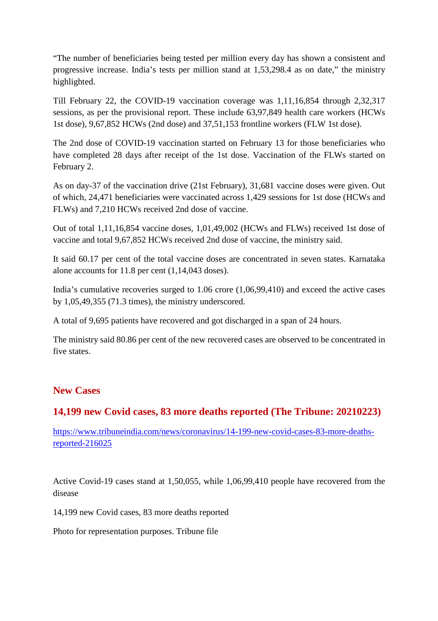"The number of beneficiaries being tested per million every day has shown a consistent and progressive increase. India's tests per million stand at 1,53,298.4 as on date," the ministry highlighted.

Till February 22, the COVID-19 vaccination coverage was 1,11,16,854 through 2,32,317 sessions, as per the provisional report. These include 63,97,849 health care workers (HCWs 1st dose), 9,67,852 HCWs (2nd dose) and 37,51,153 frontline workers (FLW 1st dose).

The 2nd dose of COVID-19 vaccination started on February 13 for those beneficiaries who have completed 28 days after receipt of the 1st dose. Vaccination of the FLWs started on February 2.

As on day-37 of the vaccination drive (21st February), 31,681 vaccine doses were given. Out of which, 24,471 beneficiaries were vaccinated across 1,429 sessions for 1st dose (HCWs and FLWs) and 7,210 HCWs received 2nd dose of vaccine.

Out of total 1,11,16,854 vaccine doses, 1,01,49,002 (HCWs and FLWs) received 1st dose of vaccine and total 9,67,852 HCWs received 2nd dose of vaccine, the ministry said.

It said 60.17 per cent of the total vaccine doses are concentrated in seven states. Karnataka alone accounts for 11.8 per cent (1,14,043 doses).

India's cumulative recoveries surged to 1.06 crore (1,06,99,410) and exceed the active cases by 1,05,49,355 (71.3 times), the ministry underscored.

A total of 9,695 patients have recovered and got discharged in a span of 24 hours.

The ministry said 80.86 per cent of the new recovered cases are observed to be concentrated in five states.

#### **New Cases**

## **14,199 new Covid cases, 83 more deaths reported (The Tribune: 20210223)**

https://www.tribuneindia.com/news/coronavirus/14-199-new-covid-cases-83-more-deathsreported-216025

Active Covid-19 cases stand at 1,50,055, while 1,06,99,410 people have recovered from the disease

14,199 new Covid cases, 83 more deaths reported

Photo for representation purposes. Tribune file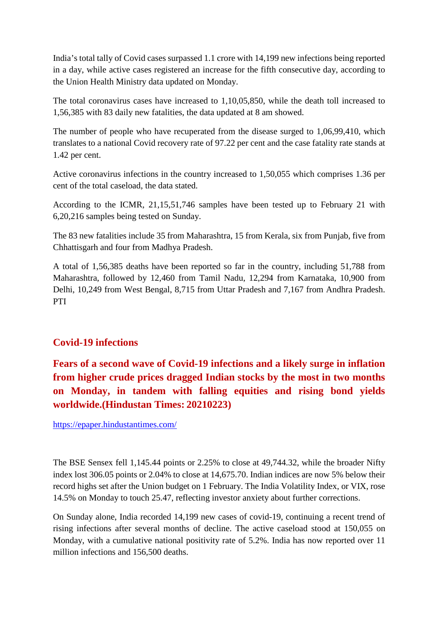India's total tally of Covid cases surpassed 1.1 crore with 14,199 new infections being reported in a day, while active cases registered an increase for the fifth consecutive day, according to the Union Health Ministry data updated on Monday.

The total coronavirus cases have increased to 1,10,05,850, while the death toll increased to 1,56,385 with 83 daily new fatalities, the data updated at 8 am showed.

The number of people who have recuperated from the disease surged to 1,06,99,410, which translates to a national Covid recovery rate of 97.22 per cent and the case fatality rate stands at 1.42 per cent.

Active coronavirus infections in the country increased to 1,50,055 which comprises 1.36 per cent of the total caseload, the data stated.

According to the ICMR, 21,15,51,746 samples have been tested up to February 21 with 6,20,216 samples being tested on Sunday.

The 83 new fatalities include 35 from Maharashtra, 15 from Kerala, six from Punjab, five from Chhattisgarh and four from Madhya Pradesh.

A total of 1,56,385 deaths have been reported so far in the country, including 51,788 from Maharashtra, followed by 12,460 from Tamil Nadu, 12,294 from Karnataka, 10,900 from Delhi, 10,249 from West Bengal, 8,715 from Uttar Pradesh and 7,167 from Andhra Pradesh. PTI

#### **Covid-19 infections**

**Fears of a second wave of Covid-19 infections and a likely surge in inflation from higher crude prices dragged Indian stocks by the most in two months on Monday, in tandem with falling equities and rising bond yields worldwide.(Hindustan Times: 20210223)**

https://epaper.hindustantimes.com/

The BSE Sensex fell 1,145.44 points or 2.25% to close at 49,744.32, while the broader Nifty index lost 306.05 points or 2.04% to close at 14,675.70. Indian indices are now 5% below their record highs set after the Union budget on 1 February. The India Volatility Index, or VIX, rose 14.5% on Monday to touch 25.47, reflecting investor anxiety about further corrections.

On Sunday alone, India recorded 14,199 new cases of covid-19, continuing a recent trend of rising infections after several months of decline. The active caseload stood at 150,055 on Monday, with a cumulative national positivity rate of 5.2%. India has now reported over 11 million infections and 156,500 deaths.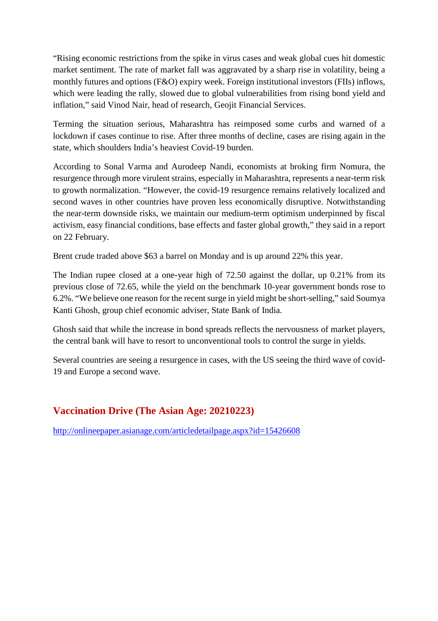"Rising economic restrictions from the spike in virus cases and weak global cues hit domestic market sentiment. The rate of market fall was aggravated by a sharp rise in volatility, being a monthly futures and options (F&O) expiry week. Foreign institutional investors (FIIs) inflows, which were leading the rally, slowed due to global vulnerabilities from rising bond yield and inflation," said Vinod Nair, head of research, Geojit Financial Services.

Terming the situation serious, Maharashtra has reimposed some curbs and warned of a lockdown if cases continue to rise. After three months of decline, cases are rising again in the state, which shoulders India's heaviest Covid-19 burden.

According to Sonal Varma and Aurodeep Nandi, economists at broking firm Nomura, the resurgence through more virulent strains, especially in Maharashtra, represents a near-term risk to growth normalization. "However, the covid-19 resurgence remains relatively localized and second waves in other countries have proven less economically disruptive. Notwithstanding the near-term downside risks, we maintain our medium-term optimism underpinned by fiscal activism, easy financial conditions, base effects and faster global growth," they said in a report on 22 February.

Brent crude traded above \$63 a barrel on Monday and is up around 22% this year.

The Indian rupee closed at a one-year high of 72.50 against the dollar, up 0.21% from its previous close of 72.65, while the yield on the benchmark 10-year government bonds rose to 6.2%. "We believe one reason for the recent surge in yield might be short-selling," said Soumya Kanti Ghosh, group chief economic adviser, State Bank of India.

Ghosh said that while the increase in bond spreads reflects the nervousness of market players, the central bank will have to resort to unconventional tools to control the surge in yields.

Several countries are seeing a resurgence in cases, with the US seeing the third wave of covid-19 and Europe a second wave.

# **Vaccination Drive (The Asian Age: 20210223)**

http://onlineepaper.asianage.com/articledetailpage.aspx?id=15426608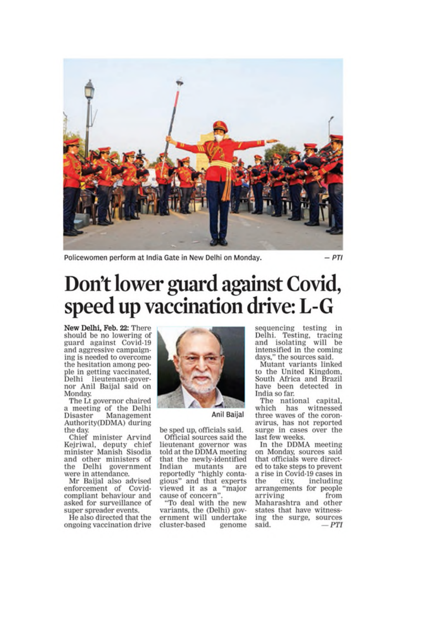

Policewomen perform at India Gate in New Delhi on Monday.

 $-PTI$ 

# Don't lower guard against Covid, speed up vaccination drive: L-G

New Delhi, Feb. 22: There should be no lowering of guard against Covid-19 and aggressive campaigning is needed to overcome the hesitation among people in getting vaccinated, Delhi lieutenant-governor Anil Baijal said on Monday.

The Lt governor chaired a meeting of the Delhi Management Disaster Authority(DDMA) during the day.

Chief minister Arvind Kejriwal, deputy chief minister Manish Sisodia and other ministers of<br>the Delhi government were in attendance.

Mr Baijal also advised enforcement of Covidcompliant behaviour and asked for surveillance of super spreader events.

He also directed that the ongoing vaccination drive



#### Anil Baijal

be sped up, officials said. Official sources said the lieutenant governor was told at the DDMA meeting that the newly-identified Indian mutants are reportedly "highly contagious" and that experts viewed it as a "major cause of concern'

"To deal with the new variants, the (Delhi) government will undertake cluster-based genome

sequencing testing in Delhi. Testing, tracing<br>and isolating will be intensified in the coming days," the sources said.

Mutant variants linked to the United Kingdom, South Africa and Brazil have been detected in India so far.

The national capital, which has witnessed three waves of the coronavirus, has not reported surge in cases over the last few weeks.

In the DDMA meeting on Monday, sources said that officials were directed to take steps to prevent a rise in Covid-19 cases in the city, including arrangements for people arriving from Maharashtra and other states that have witnessing the surge, sources said.  $= PT$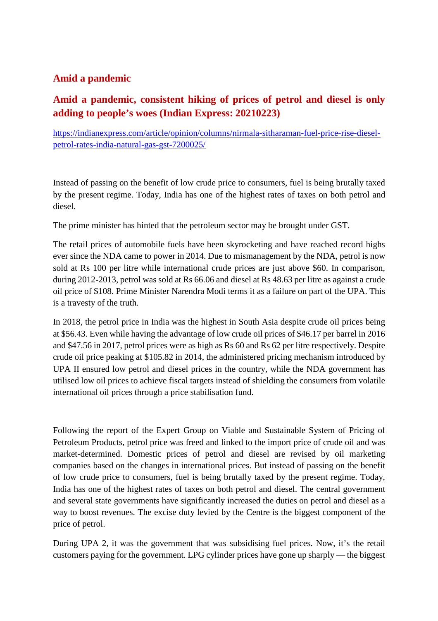#### **Amid a pandemic**

# **Amid a pandemic, consistent hiking of prices of petrol and diesel is only adding to people's woes (Indian Express: 20210223)**

https://indianexpress.com/article/opinion/columns/nirmala-sitharaman-fuel-price-rise-dieselpetrol-rates-india-natural-gas-gst-7200025/

Instead of passing on the benefit of low crude price to consumers, fuel is being brutally taxed by the present regime. Today, India has one of the highest rates of taxes on both petrol and diesel.

The prime minister has hinted that the petroleum sector may be brought under GST.

The retail prices of automobile fuels have been skyrocketing and have reached record highs ever since the NDA came to power in 2014. Due to mismanagement by the NDA, petrol is now sold at Rs 100 per litre while international crude prices are just above \$60. In comparison, during 2012-2013, petrol was sold at Rs 66.06 and diesel at Rs 48.63 per litre as against a crude oil price of \$108. Prime Minister Narendra Modi terms it as a failure on part of the UPA. This is a travesty of the truth.

In 2018, the petrol price in India was the highest in South Asia despite crude oil prices being at \$56.43. Even while having the advantage of low crude oil prices of \$46.17 per barrel in 2016 and \$47.56 in 2017, petrol prices were as high as Rs 60 and Rs 62 per litre respectively. Despite crude oil price peaking at \$105.82 in 2014, the administered pricing mechanism introduced by UPA II ensured low petrol and diesel prices in the country, while the NDA government has utilised low oil prices to achieve fiscal targets instead of shielding the consumers from volatile international oil prices through a price stabilisation fund.

Following the report of the Expert Group on Viable and Sustainable System of Pricing of Petroleum Products, petrol price was freed and linked to the import price of crude oil and was market-determined. Domestic prices of petrol and diesel are revised by oil marketing companies based on the changes in international prices. But instead of passing on the benefit of low crude price to consumers, fuel is being brutally taxed by the present regime. Today, India has one of the highest rates of taxes on both petrol and diesel. The central government and several state governments have significantly increased the duties on petrol and diesel as a way to boost revenues. The excise duty levied by the Centre is the biggest component of the price of petrol.

During UPA 2, it was the government that was subsidising fuel prices. Now, it's the retail customers paying for the government. LPG cylinder prices have gone up sharply — the biggest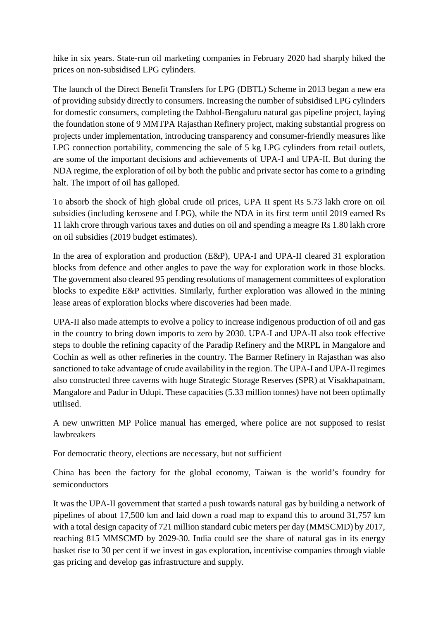hike in six years. State-run oil marketing companies in February 2020 had sharply hiked the prices on non-subsidised LPG cylinders.

The launch of the Direct Benefit Transfers for LPG (DBTL) Scheme in 2013 began a new era of providing subsidy directly to consumers. Increasing the number of subsidised LPG cylinders for domestic consumers, completing the Dabhol-Bengaluru natural gas pipeline project, laying the foundation stone of 9 MMTPA Rajasthan Refinery project, making substantial progress on projects under implementation, introducing transparency and consumer-friendly measures like LPG connection portability, commencing the sale of 5 kg LPG cylinders from retail outlets, are some of the important decisions and achievements of UPA-I and UPA-II. But during the NDA regime, the exploration of oil by both the public and private sector has come to a grinding halt. The import of oil has galloped.

To absorb the shock of high global crude oil prices, UPA II spent Rs 5.73 lakh crore on oil subsidies (including kerosene and LPG), while the NDA in its first term until 2019 earned Rs 11 lakh crore through various taxes and duties on oil and spending a meagre Rs 1.80 lakh crore on oil subsidies (2019 budget estimates).

In the area of exploration and production (E&P), UPA-I and UPA-II cleared 31 exploration blocks from defence and other angles to pave the way for exploration work in those blocks. The government also cleared 95 pending resolutions of management committees of exploration blocks to expedite E&P activities. Similarly, further exploration was allowed in the mining lease areas of exploration blocks where discoveries had been made.

UPA-II also made attempts to evolve a policy to increase indigenous production of oil and gas in the country to bring down imports to zero by 2030. UPA-I and UPA-II also took effective steps to double the refining capacity of the Paradip Refinery and the MRPL in Mangalore and Cochin as well as other refineries in the country. The Barmer Refinery in Rajasthan was also sanctioned to take advantage of crude availability in the region. The UPA-I and UPA-II regimes also constructed three caverns with huge Strategic Storage Reserves (SPR) at Visakhapatnam, Mangalore and Padur in Udupi. These capacities (5.33 million tonnes) have not been optimally utilised.

A new unwritten MP Police manual has emerged, where police are not supposed to resist lawbreakers

For democratic theory, elections are necessary, but not sufficient

China has been the factory for the global economy, Taiwan is the world's foundry for semiconductors

It was the UPA-II government that started a push towards natural gas by building a network of pipelines of about 17,500 km and laid down a road map to expand this to around 31,757 km with a total design capacity of 721 million standard cubic meters per day (MMSCMD) by 2017, reaching 815 MMSCMD by 2029-30. India could see the share of natural gas in its energy basket rise to 30 per cent if we invest in gas exploration, incentivise companies through viable gas pricing and develop gas infrastructure and supply.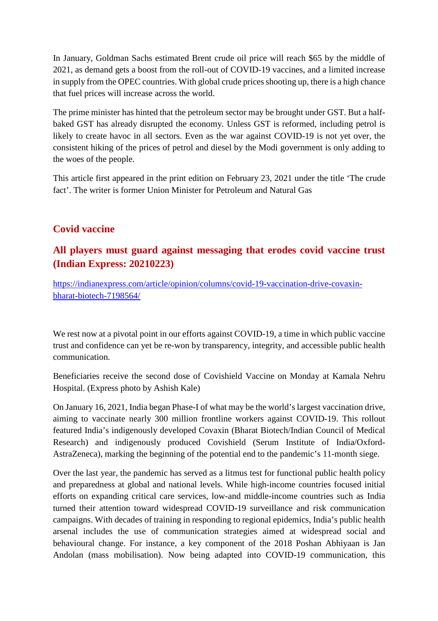In January, Goldman Sachs estimated Brent crude oil price will reach \$65 by the middle of 2021, as demand gets a boost from the roll-out of COVID-19 vaccines, and a limited increase in supply from the OPEC countries. With global crude prices shooting up, there is a high chance that fuel prices will increase across the world.

The prime minister has hinted that the petroleum sector may be brought under GST. But a halfbaked GST has already disrupted the economy. Unless GST is reformed, including petrol is likely to create havoc in all sectors. Even as the war against COVID-19 is not yet over, the consistent hiking of the prices of petrol and diesel by the Modi government is only adding to the woes of the people.

This article first appeared in the print edition on February 23, 2021 under the title 'The crude fact'. The writer is former Union Minister for Petroleum and Natural Gas

## **Covid vaccine**

## **All players must guard against messaging that erodes covid vaccine trust (Indian Express: 20210223)**

https://indianexpress.com/article/opinion/columns/covid-19-vaccination-drive-covaxinbharat-biotech-7198564/

We rest now at a pivotal point in our efforts against COVID-19, a time in which public vaccine trust and confidence can yet be re-won by transparency, integrity, and accessible public health communication.

Beneficiaries receive the second dose of Covishield Vaccine on Monday at Kamala Nehru Hospital. (Express photo by Ashish Kale)

On January 16, 2021, India began Phase-I of what may be the world's largest vaccination drive, aiming to vaccinate nearly 300 million frontline workers against COVID-19. This rollout featured India's indigenously developed Covaxin (Bharat Biotech/Indian Council of Medical Research) and indigenously produced Covishield (Serum Institute of India/Oxford-AstraZeneca), marking the beginning of the potential end to the pandemic's 11-month siege.

Over the last year, the pandemic has served as a litmus test for functional public health policy and preparedness at global and national levels. While high-income countries focused initial efforts on expanding critical care services, low-and middle-income countries such as India turned their attention toward widespread COVID-19 surveillance and risk communication campaigns. With decades of training in responding to regional epidemics, India's public health arsenal includes the use of communication strategies aimed at widespread social and behavioural change. For instance, a key component of the 2018 Poshan Abhiyaan is Jan Andolan (mass mobilisation). Now being adapted into COVID-19 communication, this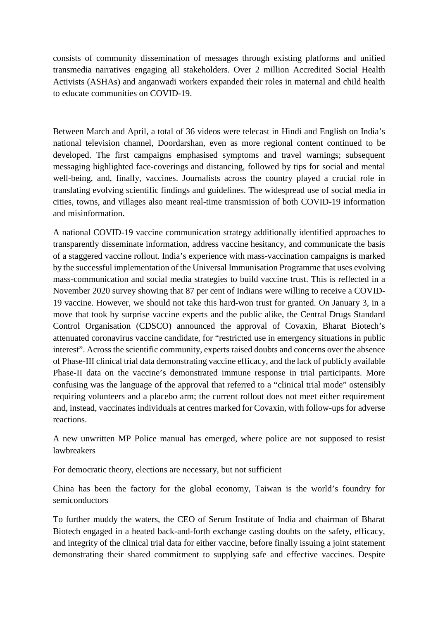consists of community dissemination of messages through existing platforms and unified transmedia narratives engaging all stakeholders. Over 2 million Accredited Social Health Activists (ASHAs) and anganwadi workers expanded their roles in maternal and child health to educate communities on COVID-19.

Between March and April, a total of 36 videos were telecast in Hindi and English on India's national television channel, Doordarshan, even as more regional content continued to be developed. The first campaigns emphasised symptoms and travel warnings; subsequent messaging highlighted face-coverings and distancing, followed by tips for social and mental well-being, and, finally, vaccines. Journalists across the country played a crucial role in translating evolving scientific findings and guidelines. The widespread use of social media in cities, towns, and villages also meant real-time transmission of both COVID-19 information and misinformation.

A national COVID-19 vaccine communication strategy additionally identified approaches to transparently disseminate information, address vaccine hesitancy, and communicate the basis of a staggered vaccine rollout. India's experience with mass-vaccination campaigns is marked by the successful implementation of the Universal Immunisation Programme that uses evolving mass-communication and social media strategies to build vaccine trust. This is reflected in a November 2020 survey showing that 87 per cent of Indians were willing to receive a COVID-19 vaccine. However, we should not take this hard-won trust for granted. On January 3, in a move that took by surprise vaccine experts and the public alike, the Central Drugs Standard Control Organisation (CDSCO) announced the approval of Covaxin, Bharat Biotech's attenuated coronavirus vaccine candidate, for "restricted use in emergency situations in public interest". Across the scientific community, experts raised doubts and concerns over the absence of Phase-III clinical trial data demonstrating vaccine efficacy, and the lack of publicly available Phase-II data on the vaccine's demonstrated immune response in trial participants. More confusing was the language of the approval that referred to a "clinical trial mode" ostensibly requiring volunteers and a placebo arm; the current rollout does not meet either requirement and, instead, vaccinates individuals at centres marked for Covaxin, with follow-ups for adverse reactions.

A new unwritten MP Police manual has emerged, where police are not supposed to resist lawbreakers

For democratic theory, elections are necessary, but not sufficient

China has been the factory for the global economy, Taiwan is the world's foundry for semiconductors

To further muddy the waters, the CEO of Serum Institute of India and chairman of Bharat Biotech engaged in a heated back-and-forth exchange casting doubts on the safety, efficacy, and integrity of the clinical trial data for either vaccine, before finally issuing a joint statement demonstrating their shared commitment to supplying safe and effective vaccines. Despite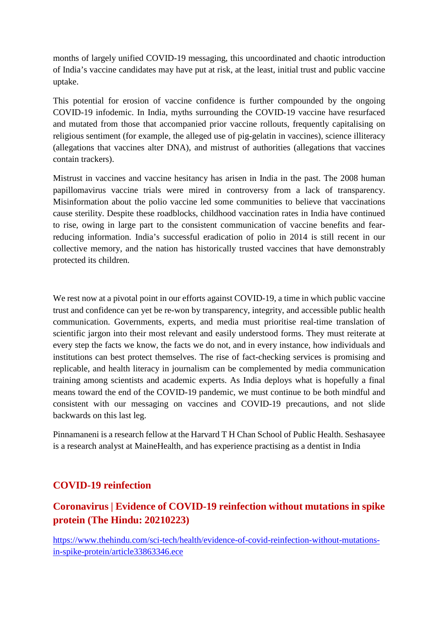months of largely unified COVID-19 messaging, this uncoordinated and chaotic introduction of India's vaccine candidates may have put at risk, at the least, initial trust and public vaccine uptake.

This potential for erosion of vaccine confidence is further compounded by the ongoing COVID-19 infodemic. In India, myths surrounding the COVID-19 vaccine have resurfaced and mutated from those that accompanied prior vaccine rollouts, frequently capitalising on religious sentiment (for example, the alleged use of pig-gelatin in vaccines), science illiteracy (allegations that vaccines alter DNA), and mistrust of authorities (allegations that vaccines contain trackers).

Mistrust in vaccines and vaccine hesitancy has arisen in India in the past. The 2008 human papillomavirus vaccine trials were mired in controversy from a lack of transparency. Misinformation about the polio vaccine led some communities to believe that vaccinations cause sterility. Despite these roadblocks, childhood vaccination rates in India have continued to rise, owing in large part to the consistent communication of vaccine benefits and fearreducing information. India's successful eradication of polio in 2014 is still recent in our collective memory, and the nation has historically trusted vaccines that have demonstrably protected its children.

We rest now at a pivotal point in our efforts against COVID-19, a time in which public vaccine trust and confidence can yet be re-won by transparency, integrity, and accessible public health communication. Governments, experts, and media must prioritise real-time translation of scientific jargon into their most relevant and easily understood forms. They must reiterate at every step the facts we know, the facts we do not, and in every instance, how individuals and institutions can best protect themselves. The rise of fact-checking services is promising and replicable, and health literacy in journalism can be complemented by media communication training among scientists and academic experts. As India deploys what is hopefully a final means toward the end of the COVID-19 pandemic, we must continue to be both mindful and consistent with our messaging on vaccines and COVID-19 precautions, and not slide backwards on this last leg.

Pinnamaneni is a research fellow at the Harvard T H Chan School of Public Health. Seshasayee is a research analyst at MaineHealth, and has experience practising as a dentist in India

#### **COVID-19 reinfection**

# **Coronavirus | Evidence of COVID-19 reinfection without mutations in spike protein (The Hindu: 20210223)**

https://www.thehindu.com/sci-tech/health/evidence-of-covid-reinfection-without-mutationsin-spike-protein/article33863346.ece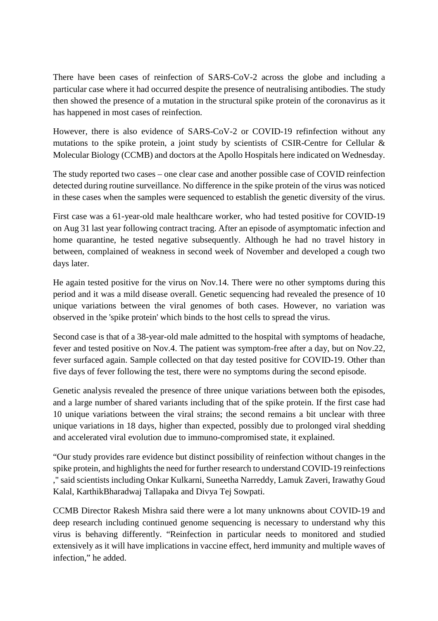There have been cases of reinfection of SARS-CoV-2 across the globe and including a particular case where it had occurred despite the presence of neutralising antibodies. The study then showed the presence of a mutation in the structural spike protein of the coronavirus as it has happened in most cases of reinfection.

However, there is also evidence of SARS-CoV-2 or COVID-19 refinfection without any mutations to the spike protein, a joint study by scientists of CSIR-Centre for Cellular & Molecular Biology (CCMB) and doctors at the Apollo Hospitals here indicated on Wednesday.

The study reported two cases – one clear case and another possible case of COVID reinfection detected during routine surveillance. No difference in the spike protein of the virus was noticed in these cases when the samples were sequenced to establish the genetic diversity of the virus.

First case was a 61-year-old male healthcare worker, who had tested positive for COVID-19 on Aug 31 last year following contract tracing. After an episode of asymptomatic infection and home quarantine, he tested negative subsequently. Although he had no travel history in between, complained of weakness in second week of November and developed a cough two days later.

He again tested positive for the virus on Nov.14. There were no other symptoms during this period and it was a mild disease overall. Genetic sequencing had revealed the presence of 10 unique variations between the viral genomes of both cases. However, no variation was observed in the 'spike protein' which binds to the host cells to spread the virus.

Second case is that of a 38-year-old male admitted to the hospital with symptoms of headache, fever and tested positive on Nov.4. The patient was symptom-free after a day, but on Nov.22, fever surfaced again. Sample collected on that day tested positive for COVID-19. Other than five days of fever following the test, there were no symptoms during the second episode.

Genetic analysis revealed the presence of three unique variations between both the episodes, and a large number of shared variants including that of the spike protein. If the first case had 10 unique variations between the viral strains; the second remains a bit unclear with three unique variations in 18 days, higher than expected, possibly due to prolonged viral shedding and accelerated viral evolution due to immuno-compromised state, it explained.

"Our study provides rare evidence but distinct possibility of reinfection without changes in the spike protein, and highlights the need for further research to understand COVID-19 reinfections ," said scientists including Onkar Kulkarni, Suneetha Narreddy, Lamuk Zaveri, Irawathy Goud Kalal, KarthikBharadwaj Tallapaka and Divya Tej Sowpati.

CCMB Director Rakesh Mishra said there were a lot many unknowns about COVID-19 and deep research including continued genome sequencing is necessary to understand why this virus is behaving differently. "Reinfection in particular needs to monitored and studied extensively as it will have implications in vaccine effect, herd immunity and multiple waves of infection," he added.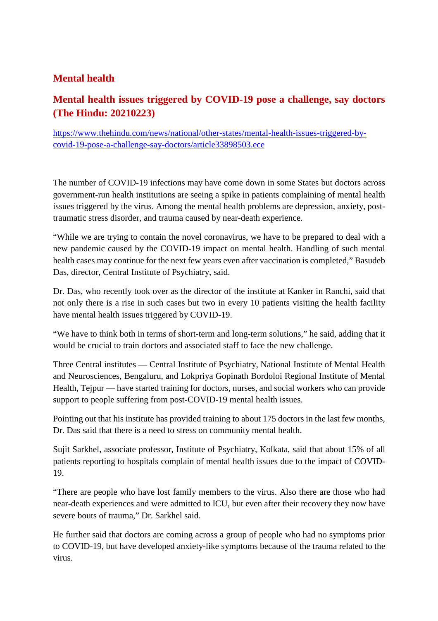# **Mental health**

# **Mental health issues triggered by COVID-19 pose a challenge, say doctors (The Hindu: 20210223)**

https://www.thehindu.com/news/national/other-states/mental-health-issues-triggered-bycovid-19-pose-a-challenge-say-doctors/article33898503.ece

The number of COVID-19 infections may have come down in some States but doctors across government-run health institutions are seeing a spike in patients complaining of mental health issues triggered by the virus. Among the mental health problems are depression, anxiety, posttraumatic stress disorder, and trauma caused by near-death experience.

"While we are trying to contain the novel coronavirus, we have to be prepared to deal with a new pandemic caused by the COVID-19 impact on mental health. Handling of such mental health cases may continue for the next few years even after vaccination is completed," Basudeb Das, director, Central Institute of Psychiatry, said.

Dr. Das, who recently took over as the director of the institute at Kanker in Ranchi, said that not only there is a rise in such cases but two in every 10 patients visiting the health facility have mental health issues triggered by COVID-19.

"We have to think both in terms of short-term and long-term solutions," he said, adding that it would be crucial to train doctors and associated staff to face the new challenge.

Three Central institutes — Central Institute of Psychiatry, National Institute of Mental Health and Neurosciences, Bengaluru, and Lokpriya Gopinath Bordoloi Regional Institute of Mental Health, Tejpur — have started training for doctors, nurses, and social workers who can provide support to people suffering from post-COVID-19 mental health issues.

Pointing out that his institute has provided training to about 175 doctors in the last few months, Dr. Das said that there is a need to stress on community mental health.

Sujit Sarkhel, associate professor, Institute of Psychiatry, Kolkata, said that about 15% of all patients reporting to hospitals complain of mental health issues due to the impact of COVID-19.

"There are people who have lost family members to the virus. Also there are those who had near-death experiences and were admitted to ICU, but even after their recovery they now have severe bouts of trauma," Dr. Sarkhel said.

He further said that doctors are coming across a group of people who had no symptoms prior to COVID-19, but have developed anxiety-like symptoms because of the trauma related to the virus.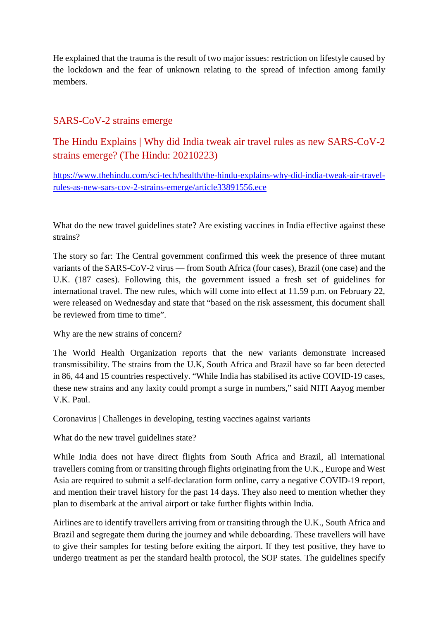He explained that the trauma is the result of two major issues: restriction on lifestyle caused by the lockdown and the fear of unknown relating to the spread of infection among family members.

#### SARS-CoV-2 strains emerge

The Hindu Explains | Why did India tweak air travel rules as new SARS-CoV-2 strains emerge? (The Hindu: 20210223)

https://www.thehindu.com/sci-tech/health/the-hindu-explains-why-did-india-tweak-air-travelrules-as-new-sars-cov-2-strains-emerge/article33891556.ece

What do the new travel guidelines state? Are existing vaccines in India effective against these strains?

The story so far: The Central government confirmed this week the presence of three mutant variants of the SARS-CoV-2 virus — from South Africa (four cases), Brazil (one case) and the U.K. (187 cases). Following this, the government issued a fresh set of guidelines for international travel. The new rules, which will come into effect at 11.59 p.m. on February 22, were released on Wednesday and state that "based on the risk assessment, this document shall be reviewed from time to time".

Why are the new strains of concern?

The World Health Organization reports that the new variants demonstrate increased transmissibility. The strains from the U.K, South Africa and Brazil have so far been detected in 86, 44 and 15 countries respectively. "While India has stabilised its active COVID-19 cases, these new strains and any laxity could prompt a surge in numbers," said NITI Aayog member V.K. Paul.

Coronavirus | Challenges in developing, testing vaccines against variants

What do the new travel guidelines state?

While India does not have direct flights from South Africa and Brazil, all international travellers coming from or transiting through flights originating from the U.K., Europe and West Asia are required to submit a self-declaration form online, carry a negative COVID-19 report, and mention their travel history for the past 14 days. They also need to mention whether they plan to disembark at the arrival airport or take further flights within India.

Airlines are to identify travellers arriving from or transiting through the U.K., South Africa and Brazil and segregate them during the journey and while deboarding. These travellers will have to give their samples for testing before exiting the airport. If they test positive, they have to undergo treatment as per the standard health protocol, the SOP states. The guidelines specify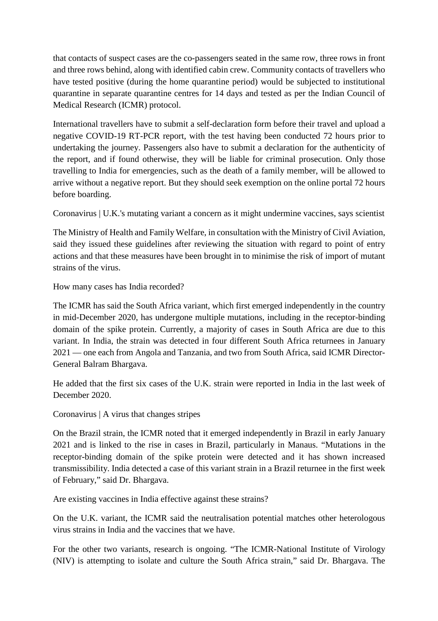that contacts of suspect cases are the co-passengers seated in the same row, three rows in front and three rows behind, along with identified cabin crew. Community contacts of travellers who have tested positive (during the home quarantine period) would be subjected to institutional quarantine in separate quarantine centres for 14 days and tested as per the Indian Council of Medical Research (ICMR) protocol.

International travellers have to submit a self-declaration form before their travel and upload a negative COVID-19 RT-PCR report, with the test having been conducted 72 hours prior to undertaking the journey. Passengers also have to submit a declaration for the authenticity of the report, and if found otherwise, they will be liable for criminal prosecution. Only those travelling to India for emergencies, such as the death of a family member, will be allowed to arrive without a negative report. But they should seek exemption on the online portal 72 hours before boarding.

Coronavirus | U.K.'s mutating variant a concern as it might undermine vaccines, says scientist

The Ministry of Health and Family Welfare, in consultation with the Ministry of Civil Aviation, said they issued these guidelines after reviewing the situation with regard to point of entry actions and that these measures have been brought in to minimise the risk of import of mutant strains of the virus.

How many cases has India recorded?

The ICMR has said the South Africa variant, which first emerged independently in the country in mid-December 2020, has undergone multiple mutations, including in the receptor-binding domain of the spike protein. Currently, a majority of cases in South Africa are due to this variant. In India, the strain was detected in four different South Africa returnees in January 2021 — one each from Angola and Tanzania, and two from South Africa, said ICMR Director-General Balram Bhargava.

He added that the first six cases of the U.K. strain were reported in India in the last week of December 2020.

Coronavirus | A virus that changes stripes

On the Brazil strain, the ICMR noted that it emerged independently in Brazil in early January 2021 and is linked to the rise in cases in Brazil, particularly in Manaus. "Mutations in the receptor-binding domain of the spike protein were detected and it has shown increased transmissibility. India detected a case of this variant strain in a Brazil returnee in the first week of February," said Dr. Bhargava.

Are existing vaccines in India effective against these strains?

On the U.K. variant, the ICMR said the neutralisation potential matches other heterologous virus strains in India and the vaccines that we have.

For the other two variants, research is ongoing. "The ICMR-National Institute of Virology (NIV) is attempting to isolate and culture the South Africa strain," said Dr. Bhargava. The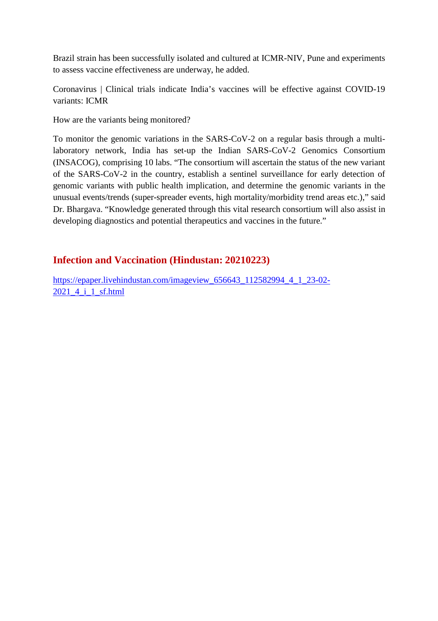Brazil strain has been successfully isolated and cultured at ICMR-NIV, Pune and experiments to assess vaccine effectiveness are underway, he added.

Coronavirus | Clinical trials indicate India's vaccines will be effective against COVID-19 variants: ICMR

How are the variants being monitored?

To monitor the genomic variations in the SARS-CoV-2 on a regular basis through a multilaboratory network, India has set-up the Indian SARS-CoV-2 Genomics Consortium (INSACOG), comprising 10 labs. "The consortium will ascertain the status of the new variant of the SARS-CoV-2 in the country, establish a sentinel surveillance for early detection of genomic variants with public health implication, and determine the genomic variants in the unusual events/trends (super-spreader events, high mortality/morbidity trend areas etc.)," said Dr. Bhargava. "Knowledge generated through this vital research consortium will also assist in developing diagnostics and potential therapeutics and vaccines in the future."

### **Infection and Vaccination (Hindustan: 20210223)**

https://epaper.livehindustan.com/imageview\_656643\_112582994\_4\_1\_23-02- 2021 4 i 1 sf.html